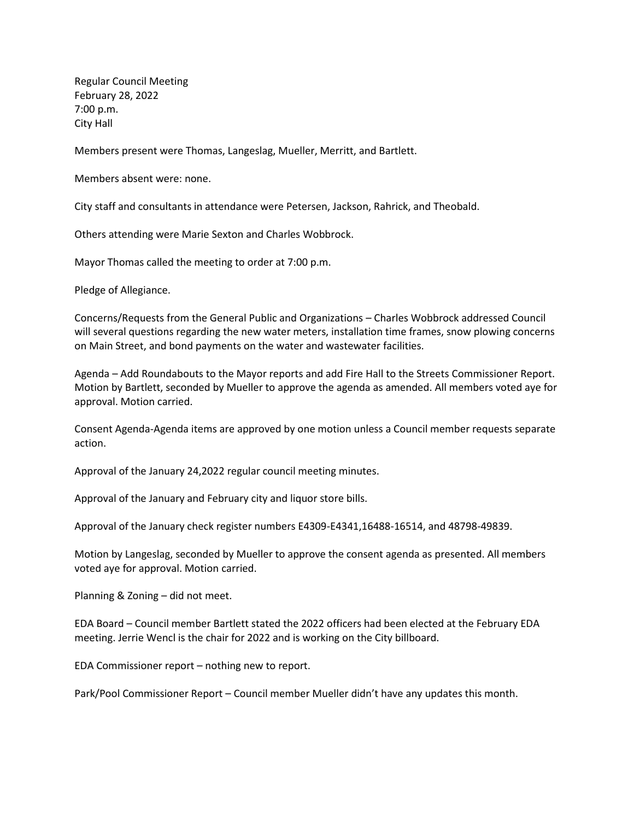Regular Council Meeting February 28, 2022 7:00 p.m. City Hall

Members present were Thomas, Langeslag, Mueller, Merritt, and Bartlett.

Members absent were: none.

City staff and consultants in attendance were Petersen, Jackson, Rahrick, and Theobald.

Others attending were Marie Sexton and Charles Wobbrock.

Mayor Thomas called the meeting to order at 7:00 p.m.

Pledge of Allegiance.

Concerns/Requests from the General Public and Organizations – Charles Wobbrock addressed Council will several questions regarding the new water meters, installation time frames, snow plowing concerns on Main Street, and bond payments on the water and wastewater facilities.

Agenda – Add Roundabouts to the Mayor reports and add Fire Hall to the Streets Commissioner Report. Motion by Bartlett, seconded by Mueller to approve the agenda as amended. All members voted aye for approval. Motion carried.

Consent Agenda-Agenda items are approved by one motion unless a Council member requests separate action.

Approval of the January 24,2022 regular council meeting minutes.

Approval of the January and February city and liquor store bills.

Approval of the January check register numbers E4309-E4341,16488-16514, and 48798-49839.

Motion by Langeslag, seconded by Mueller to approve the consent agenda as presented. All members voted aye for approval. Motion carried.

Planning & Zoning – did not meet.

EDA Board – Council member Bartlett stated the 2022 officers had been elected at the February EDA meeting. Jerrie Wencl is the chair for 2022 and is working on the City billboard.

EDA Commissioner report – nothing new to report.

Park/Pool Commissioner Report – Council member Mueller didn't have any updates this month.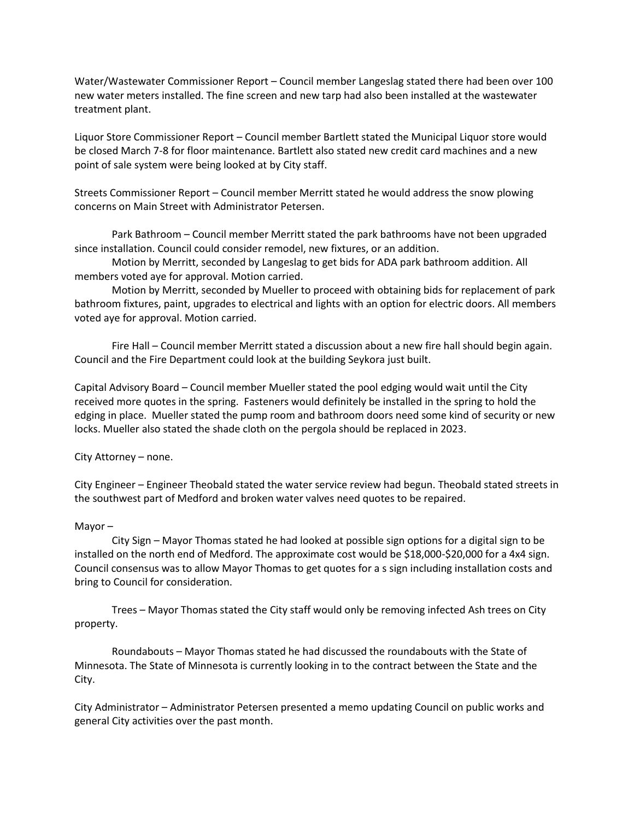Water/Wastewater Commissioner Report – Council member Langeslag stated there had been over 100 new water meters installed. The fine screen and new tarp had also been installed at the wastewater treatment plant.

Liquor Store Commissioner Report – Council member Bartlett stated the Municipal Liquor store would be closed March 7-8 for floor maintenance. Bartlett also stated new credit card machines and a new point of sale system were being looked at by City staff.

Streets Commissioner Report – Council member Merritt stated he would address the snow plowing concerns on Main Street with Administrator Petersen.

Park Bathroom – Council member Merritt stated the park bathrooms have not been upgraded since installation. Council could consider remodel, new fixtures, or an addition.

Motion by Merritt, seconded by Langeslag to get bids for ADA park bathroom addition. All members voted aye for approval. Motion carried.

Motion by Merritt, seconded by Mueller to proceed with obtaining bids for replacement of park bathroom fixtures, paint, upgrades to electrical and lights with an option for electric doors. All members voted aye for approval. Motion carried.

Fire Hall – Council member Merritt stated a discussion about a new fire hall should begin again. Council and the Fire Department could look at the building Seykora just built.

Capital Advisory Board – Council member Mueller stated the pool edging would wait until the City received more quotes in the spring. Fasteners would definitely be installed in the spring to hold the edging in place. Mueller stated the pump room and bathroom doors need some kind of security or new locks. Mueller also stated the shade cloth on the pergola should be replaced in 2023.

City Attorney – none.

City Engineer – Engineer Theobald stated the water service review had begun. Theobald stated streets in the southwest part of Medford and broken water valves need quotes to be repaired.

## Mayor –

City Sign – Mayor Thomas stated he had looked at possible sign options for a digital sign to be installed on the north end of Medford. The approximate cost would be \$18,000-\$20,000 for a 4x4 sign. Council consensus was to allow Mayor Thomas to get quotes for a s sign including installation costs and bring to Council for consideration.

Trees – Mayor Thomas stated the City staff would only be removing infected Ash trees on City property.

Roundabouts – Mayor Thomas stated he had discussed the roundabouts with the State of Minnesota. The State of Minnesota is currently looking in to the contract between the State and the City.

City Administrator – Administrator Petersen presented a memo updating Council on public works and general City activities over the past month.